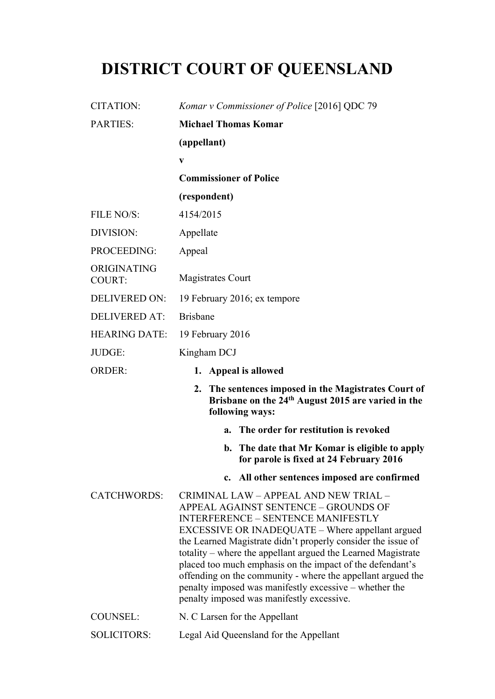## **DISTRICT COURT OF QUEENSLAND**

| <b>CITATION:</b>             | Komar v Commissioner of Police [2016] QDC 79                                                                                                                                                                                                                                                                                                                                                                                                                                                                                                      |
|------------------------------|---------------------------------------------------------------------------------------------------------------------------------------------------------------------------------------------------------------------------------------------------------------------------------------------------------------------------------------------------------------------------------------------------------------------------------------------------------------------------------------------------------------------------------------------------|
| <b>PARTIES:</b>              | <b>Michael Thomas Komar</b>                                                                                                                                                                                                                                                                                                                                                                                                                                                                                                                       |
|                              | (appellant)                                                                                                                                                                                                                                                                                                                                                                                                                                                                                                                                       |
|                              | $\mathbf{V}$                                                                                                                                                                                                                                                                                                                                                                                                                                                                                                                                      |
|                              | <b>Commissioner of Police</b>                                                                                                                                                                                                                                                                                                                                                                                                                                                                                                                     |
|                              | (respondent)                                                                                                                                                                                                                                                                                                                                                                                                                                                                                                                                      |
| FILE NO/S:                   | 4154/2015                                                                                                                                                                                                                                                                                                                                                                                                                                                                                                                                         |
| DIVISION:                    | Appellate                                                                                                                                                                                                                                                                                                                                                                                                                                                                                                                                         |
| PROCEEDING:                  | Appeal                                                                                                                                                                                                                                                                                                                                                                                                                                                                                                                                            |
| ORIGINATING<br><b>COURT:</b> | <b>Magistrates Court</b>                                                                                                                                                                                                                                                                                                                                                                                                                                                                                                                          |
| <b>DELIVERED ON:</b>         | 19 February 2016; ex tempore                                                                                                                                                                                                                                                                                                                                                                                                                                                                                                                      |
| <b>DELIVERED AT:</b>         | <b>Brisbane</b>                                                                                                                                                                                                                                                                                                                                                                                                                                                                                                                                   |
| <b>HEARING DATE:</b>         | 19 February 2016                                                                                                                                                                                                                                                                                                                                                                                                                                                                                                                                  |
| JUDGE:                       | Kingham DCJ                                                                                                                                                                                                                                                                                                                                                                                                                                                                                                                                       |
| <b>ORDER:</b>                | 1. Appeal is allowed                                                                                                                                                                                                                                                                                                                                                                                                                                                                                                                              |
|                              | The sentences imposed in the Magistrates Court of<br>2.<br>Brisbane on the 24 <sup>th</sup> August 2015 are varied in the<br>following ways:                                                                                                                                                                                                                                                                                                                                                                                                      |
|                              | The order for restitution is revoked<br>$a_{\cdot}$                                                                                                                                                                                                                                                                                                                                                                                                                                                                                               |
|                              | b. The date that Mr Komar is eligible to apply<br>for parole is fixed at 24 February 2016                                                                                                                                                                                                                                                                                                                                                                                                                                                         |
|                              | c. All other sentences imposed are confirmed                                                                                                                                                                                                                                                                                                                                                                                                                                                                                                      |
| <b>CATCHWORDS:</b>           | CRIMINAL LAW - APPEAL AND NEW TRIAL -<br>APPEAL AGAINST SENTENCE - GROUNDS OF<br><b>INTERFERENCE - SENTENCE MANIFESTLY</b><br>EXCESSIVE OR INADEQUATE – Where appellant argued<br>the Learned Magistrate didn't properly consider the issue of<br>totality – where the appellant argued the Learned Magistrate<br>placed too much emphasis on the impact of the defendant's<br>offending on the community - where the appellant argued the<br>penalty imposed was manifestly excessive – whether the<br>penalty imposed was manifestly excessive. |
| <b>COUNSEL:</b>              | N. C Larsen for the Appellant                                                                                                                                                                                                                                                                                                                                                                                                                                                                                                                     |
| <b>SOLICITORS:</b>           | Legal Aid Queensland for the Appellant                                                                                                                                                                                                                                                                                                                                                                                                                                                                                                            |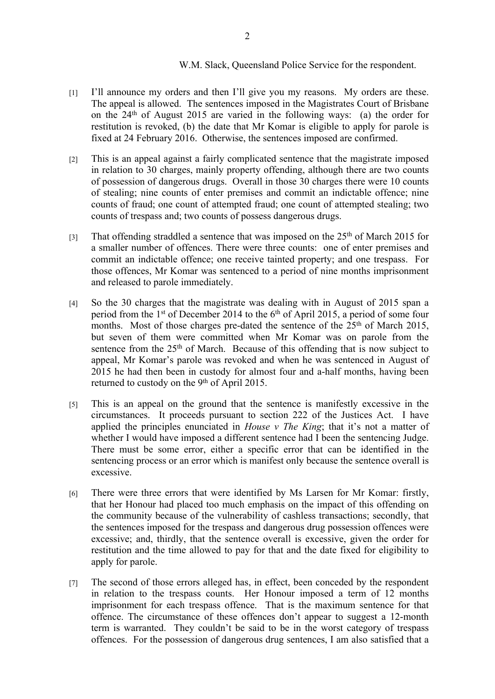## W.M. Slack, Queensland Police Service for the respondent.

- [1] I'll announce my orders and then I'll give you my reasons. My orders are these. The appeal is allowed. The sentences imposed in the Magistrates Court of Brisbane on the 24th of August 2015 are varied in the following ways: (a) the order for restitution is revoked, (b) the date that Mr Komar is eligible to apply for parole is fixed at 24 February 2016. Otherwise, the sentences imposed are confirmed.
- [2] This is an appeal against a fairly complicated sentence that the magistrate imposed in relation to 30 charges, mainly property offending, although there are two counts of possession of dangerous drugs. Overall in those 30 charges there were 10 counts of stealing; nine counts of enter premises and commit an indictable offence; nine counts of fraud; one count of attempted fraud; one count of attempted stealing; two counts of trespass and; two counts of possess dangerous drugs.
- [3] That offending straddled a sentence that was imposed on the  $25<sup>th</sup>$  of March 2015 for a smaller number of offences. There were three counts: one of enter premises and commit an indictable offence; one receive tainted property; and one trespass. For those offences, Mr Komar was sentenced to a period of nine months imprisonment and released to parole immediately.
- [4] So the 30 charges that the magistrate was dealing with in August of 2015 span a period from the 1<sup>st</sup> of December 2014 to the  $6<sup>th</sup>$  of April 2015, a period of some four months. Most of those charges pre-dated the sentence of the  $25<sup>th</sup>$  of March 2015, but seven of them were committed when Mr Komar was on parole from the sentence from the 25<sup>th</sup> of March. Because of this offending that is now subject to appeal, Mr Komar's parole was revoked and when he was sentenced in August of 2015 he had then been in custody for almost four and a-half months, having been returned to custody on the 9<sup>th</sup> of April 2015.
- [5] This is an appeal on the ground that the sentence is manifestly excessive in the circumstances. It proceeds pursuant to section 222 of the Justices Act. I have applied the principles enunciated in *House v The King*; that it's not a matter of whether I would have imposed a different sentence had I been the sentencing Judge. There must be some error, either a specific error that can be identified in the sentencing process or an error which is manifest only because the sentence overall is excessive.
- [6] There were three errors that were identified by Ms Larsen for Mr Komar: firstly, that her Honour had placed too much emphasis on the impact of this offending on the community because of the vulnerability of cashless transactions; secondly, that the sentences imposed for the trespass and dangerous drug possession offences were excessive; and, thirdly, that the sentence overall is excessive, given the order for restitution and the time allowed to pay for that and the date fixed for eligibility to apply for parole.
- [7] The second of those errors alleged has, in effect, been conceded by the respondent in relation to the trespass counts. Her Honour imposed a term of 12 months imprisonment for each trespass offence. That is the maximum sentence for that offence. The circumstance of these offences don't appear to suggest a 12-month term is warranted. They couldn't be said to be in the worst category of trespass offences. For the possession of dangerous drug sentences, I am also satisfied that a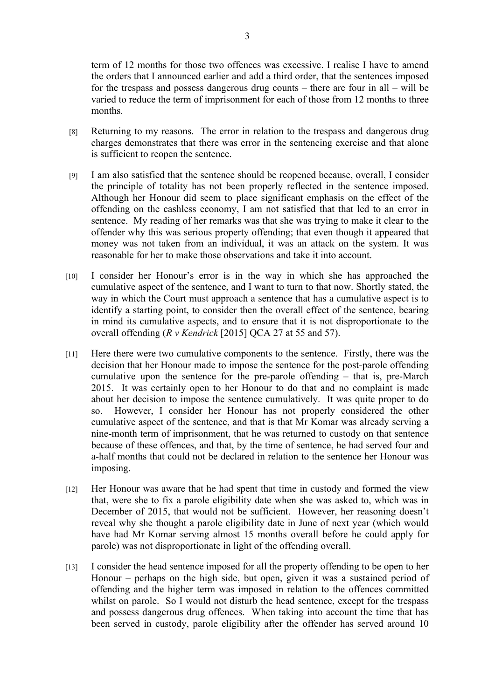term of 12 months for those two offences was excessive. I realise I have to amend the orders that I announced earlier and add a third order, that the sentences imposed for the trespass and possess dangerous drug counts – there are four in all – will be varied to reduce the term of imprisonment for each of those from 12 months to three months.

- [8] Returning to my reasons. The error in relation to the trespass and dangerous drug charges demonstrates that there was error in the sentencing exercise and that alone is sufficient to reopen the sentence.
- [9] I am also satisfied that the sentence should be reopened because, overall, I consider the principle of totality has not been properly reflected in the sentence imposed. Although her Honour did seem to place significant emphasis on the effect of the offending on the cashless economy, I am not satisfied that that led to an error in sentence. My reading of her remarks was that she was trying to make it clear to the offender why this was serious property offending; that even though it appeared that money was not taken from an individual, it was an attack on the system. It was reasonable for her to make those observations and take it into account.
- [10] I consider her Honour's error is in the way in which she has approached the cumulative aspect of the sentence, and I want to turn to that now. Shortly stated, the way in which the Court must approach a sentence that has a cumulative aspect is to identify a starting point, to consider then the overall effect of the sentence, bearing in mind its cumulative aspects, and to ensure that it is not disproportionate to the overall offending (*R v Kendrick* [2015] QCA 27 at 55 and 57).
- [11] Here there were two cumulative components to the sentence. Firstly, there was the decision that her Honour made to impose the sentence for the post-parole offending cumulative upon the sentence for the pre-parole offending – that is, pre-March 2015. It was certainly open to her Honour to do that and no complaint is made about her decision to impose the sentence cumulatively. It was quite proper to do so. However, I consider her Honour has not properly considered the other cumulative aspect of the sentence, and that is that Mr Komar was already serving a nine-month term of imprisonment, that he was returned to custody on that sentence because of these offences, and that, by the time of sentence, he had served four and a-half months that could not be declared in relation to the sentence her Honour was imposing.
- [12] Her Honour was aware that he had spent that time in custody and formed the view that, were she to fix a parole eligibility date when she was asked to, which was in December of 2015, that would not be sufficient. However, her reasoning doesn't reveal why she thought a parole eligibility date in June of next year (which would have had Mr Komar serving almost 15 months overall before he could apply for parole) was not disproportionate in light of the offending overall.
- [13] I consider the head sentence imposed for all the property offending to be open to her Honour – perhaps on the high side, but open, given it was a sustained period of offending and the higher term was imposed in relation to the offences committed whilst on parole. So I would not disturb the head sentence, except for the trespass and possess dangerous drug offences. When taking into account the time that has been served in custody, parole eligibility after the offender has served around 10